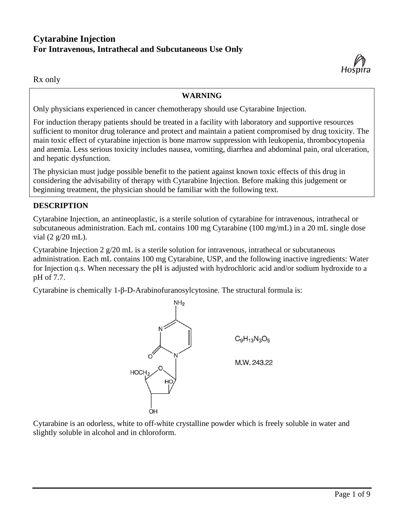# **Cytarabine Injection For Intravenous, Intrathecal and Subcutaneous Use Only**



Rx only

# **WARNING**

Only physicians experienced in cancer chemotherapy should use Cytarabine Injection.

For induction therapy patients should be treated in a facility with laboratory and supportive resources sufficient to monitor drug tolerance and protect and maintain a patient compromised by drug toxicity. The main toxic effect of cytarabine injection is bone marrow suppression with leukopenia, thrombocytopenia and anemia. Less serious toxicity includes nausea, vomiting, diarrhea and abdominal pain, oral ulceration, and hepatic dysfunction.

The physician must judge possible benefit to the patient against known toxic effects of this drug in considering the advisability of therapy with Cytarabine Injection. Before making this judgement or beginning treatment, the physician should be familiar with the following text.

## **DESCRIPTION**

Cytarabine Injection, an antineoplastic, is a sterile solution of cytarabine for intravenous, intrathecal or subcutaneous administration. Each mL contains 100 mg Cytarabine (100 mg/mL) in a 20 mL single dose vial  $(2 \text{ g}/20 \text{ mL})$ .

Cytarabine Injection 2 g/20 mL is a sterile solution for intravenous, intrathecal or subcutaneous administration. Each mL contains 100 mg Cytarabine, USP, and the following inactive ingredients: Water for Injection q.s. When necessary the pH is adjusted with hydrochloric acid and/or sodium hydroxide to a pH of 7.7.

Cytarabine is chemically 1-β-D-Arabinofuranosylcytosine. The structural formula is:



Cytarabine is an odorless, white to off-white crystalline powder which is freely soluble in water and slightly soluble in alcohol and in chloroform.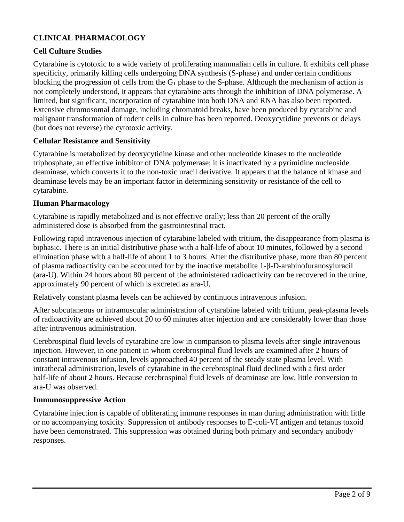# **CLINICAL PHARMACOLOGY**

## **Cell Culture Studies**

Cytarabine is cytotoxic to a wide variety of proliferating mammalian cells in culture. It exhibits cell phase specificity, primarily killing cells undergoing DNA synthesis (S-phase) and under certain conditions blocking the progression of cells from the  $G_1$  phase to the S-phase. Although the mechanism of action is not completely understood, it appears that cytarabine acts through the inhibition of DNA polymerase. A limited, but significant, incorporation of cytarabine into both DNA and RNA has also been reported. Extensive chromosomal damage, including chromatoid breaks, have been produced by cytarabine and malignant transformation of rodent cells in culture has been reported. Deoxycytidine prevents or delays (but does not reverse) the cytotoxic activity.

### **Cellular Resistance and Sensitivity**

Cytarabine is metabolized by deoxycytidine kinase and other nucleotide kinases to the nucleotide triphosphate, an effective inhibitor of DNA polymerase; it is inactivated by a pyrimidine nucleoside deaminase, which converts it to the non-toxic uracil derivative. It appears that the balance of kinase and deaminase levels may be an important factor in determining sensitivity or resistance of the cell to cytarabine.

### **Human Pharmacology**

Cytarabine is rapidly metabolized and is not effective orally; less than 20 percent of the orally administered dose is absorbed from the gastrointestinal tract.

Following rapid intravenous injection of cytarabine labeled with tritium, the disappearance from plasma is biphasic. There is an initial distributive phase with a half-life of about 10 minutes, followed by a second elimination phase with a half-life of about 1 to 3 hours. After the distributive phase, more than 80 percent of plasma radioactivity can be accounted for by the inactive metabolite 1-β-D-arabinofuranosyluracil (ara-U). Within 24 hours about 80 percent of the administered radioactivity can be recovered in the urine, approximately 90 percent of which is excreted as ara-U.

Relatively constant plasma levels can be achieved by continuous intravenous infusion.

After subcutaneous or intramuscular administration of cytarabine labeled with tritium, peak-plasma levels of radioactivity are achieved about 20 to 60 minutes after injection and are considerably lower than those after intravenous administration.

Cerebrospinal fluid levels of cytarabine are low in comparison to plasma levels after single intravenous injection. However, in one patient in whom cerebrospinal fluid levels are examined after 2 hours of constant intravenous infusion, levels approached 40 percent of the steady state plasma level. With intrathecal administration, levels of cytarabine in the cerebrospinal fluid declined with a first order half-life of about 2 hours. Because cerebrospinal fluid levels of deaminase are low, little conversion to ara-U was observed.

### **Immunosuppressive Action**

Cytarabine injection is capable of obliterating immune responses in man during administration with little or no accompanying toxicity. Suppression of antibody responses to E-coli-VI antigen and tetanus toxoid have been demonstrated. This suppression was obtained during both primary and secondary antibody responses.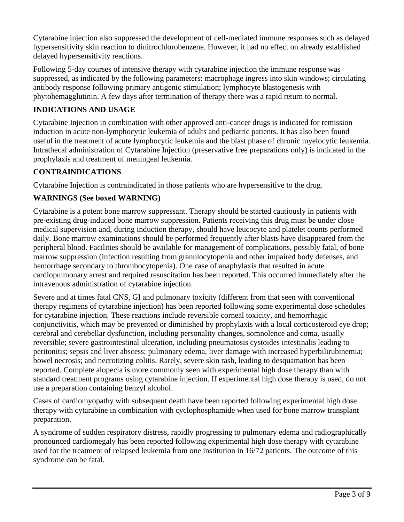Cytarabine injection also suppressed the development of cell-mediated immune responses such as delayed hypersensitivity skin reaction to dinitrochlorobenzene. However, it had no effect on already established delayed hypersensitivity reactions.

Following 5-day courses of intensive therapy with cytarabine injection the immune response was suppressed, as indicated by the following parameters: macrophage ingress into skin windows; circulating antibody response following primary antigenic stimulation; lymphocyte blastogenesis with phytohemagglutinin. A few days after termination of therapy there was a rapid return to normal.

# **INDICATIONS AND USAGE**

Cytarabine Injection in combination with other approved anti-cancer drugs is indicated for remission induction in acute non-lymphocytic leukemia of adults and pediatric patients. It has also been found useful in the treatment of acute lymphocytic leukemia and the blast phase of chronic myelocytic leukemia. Intrathecal administration of Cytarabine Injection (preservative free preparations only) is indicated in the prophylaxis and treatment of meningeal leukemia.

## **CONTRAINDICATIONS**

Cytarabine Injection is contraindicated in those patients who are hypersensitive to the drug.

## **WARNINGS (See boxed WARNING)**

Cytarabine is a potent bone marrow suppressant. Therapy should be started cautiously in patients with pre-existing drug-induced bone marrow suppression. Patients receiving this drug must be under close medical supervision and, during induction therapy, should have leucocyte and platelet counts performed daily. Bone marrow examinations should be performed frequently after blasts have disappeared from the peripheral blood. Facilities should be available for management of complications, possibly fatal, of bone marrow suppression (infection resulting from granulocytopenia and other impaired body defenses, and hemorrhage secondary to thrombocytopenia). One case of anaphylaxis that resulted in acute cardiopulmonary arrest and required resuscitation has been reported. This occurred immediately after the intravenous administration of cytarabine injection.

Severe and at times fatal CNS, GI and pulmonary toxicity (different from that seen with conventional therapy regimens of cytarabine injection) has been reported following some experimental dose schedules for cytarabine injection. These reactions include reversible corneal toxicity, and hemorrhagic conjunctivitis, which may be prevented or diminished by prophylaxis with a local corticosteroid eye drop; cerebral and cerebellar dysfunction, including personality changes, somnolence and coma, usually reversible; severe gastrointestinal ulceration, including pneumatosis cystoides intestinalis leading to peritonitis; sepsis and liver abscess; pulmonary edema, liver damage with increased hyperbilirubinemia; bowel necrosis; and necrotizing colitis. Rarely, severe skin rash, leading to desquamation has been reported. Complete alopecia is more commonly seen with experimental high dose therapy than with standard treatment programs using cytarabine injection. If experimental high dose therapy is used, do not use a preparation containing benzyl alcohol.

Cases of cardiomyopathy with subsequent death have been reported following experimental high dose therapy with cytarabine in combination with cyclophosphamide when used for bone marrow transplant preparation.

A syndrome of sudden respiratory distress, rapidly progressing to pulmonary edema and radiographically pronounced cardiomegaly has been reported following experimental high dose therapy with cytarabine used for the treatment of relapsed leukemia from one institution in 16/72 patients. The outcome of this syndrome can be fatal.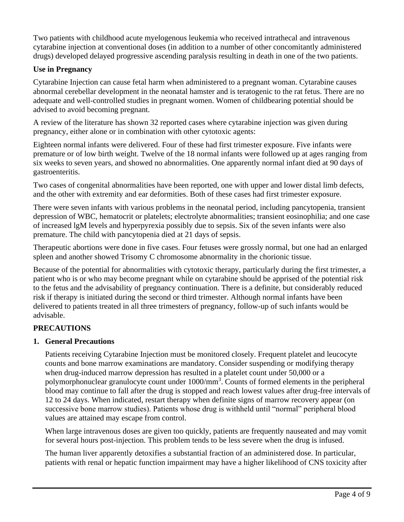Two patients with childhood acute myelogenous leukemia who received intrathecal and intravenous cytarabine injection at conventional doses (in addition to a number of other concomitantly administered drugs) developed delayed progressive ascending paralysis resulting in death in one of the two patients.

## **Use in Pregnancy**

Cytarabine Injection can cause fetal harm when administered to a pregnant woman. Cytarabine causes abnormal cerebellar development in the neonatal hamster and is teratogenic to the rat fetus. There are no adequate and well-controlled studies in pregnant women. Women of childbearing potential should be advised to avoid becoming pregnant.

A review of the literature has shown 32 reported cases where cytarabine injection was given during pregnancy, either alone or in combination with other cytotoxic agents:

Eighteen normal infants were delivered. Four of these had first trimester exposure. Five infants were premature or of low birth weight. Twelve of the 18 normal infants were followed up at ages ranging from six weeks to seven years, and showed no abnormalities. One apparently normal infant died at 90 days of gastroenteritis.

Two cases of congenital abnormalities have been reported, one with upper and lower distal limb defects, and the other with extremity and ear deformities. Both of these cases had first trimester exposure.

There were seven infants with various problems in the neonatal period, including pancytopenia, transient depression of WBC, hematocrit or platelets; electrolyte abnormalities; transient eosinophilia; and one case of increased lgM levels and hyperpyrexia possibly due to sepsis. Six of the seven infants were also premature. The child with pancytopenia died at 21 days of sepsis.

Therapeutic abortions were done in five cases. Four fetuses were grossly normal, but one had an enlarged spleen and another showed Trisomy C chromosome abnormality in the chorionic tissue.

Because of the potential for abnormalities with cytotoxic therapy, particularly during the first trimester, a patient who is or who may become pregnant while on cytarabine should be apprised of the potential risk to the fetus and the advisability of pregnancy continuation. There is a definite, but considerably reduced risk if therapy is initiated during the second or third trimester. Although normal infants have been delivered to patients treated in all three trimesters of pregnancy, follow-up of such infants would be advisable.

# **PRECAUTIONS**

## **1. General Precautions**

Patients receiving Cytarabine Injection must be monitored closely. Frequent platelet and leucocyte counts and bone marrow examinations are mandatory. Consider suspending or modifying therapy when drug-induced marrow depression has resulted in a platelet count under 50,000 or a polymorphonuclear granulocyte count under 1000/mm<sup>3</sup>. Counts of formed elements in the peripheral blood may continue to fall after the drug is stopped and reach lowest values after drug-free intervals of 12 to 24 days. When indicated, restart therapy when definite signs of marrow recovery appear (on successive bone marrow studies). Patients whose drug is withheld until "normal" peripheral blood values are attained may escape from control.

When large intravenous doses are given too quickly, patients are frequently nauseated and may vomit for several hours post-injection. This problem tends to be less severe when the drug is infused.

The human liver apparently detoxifies a substantial fraction of an administered dose. In particular, patients with renal or hepatic function impairment may have a higher likelihood of CNS toxicity after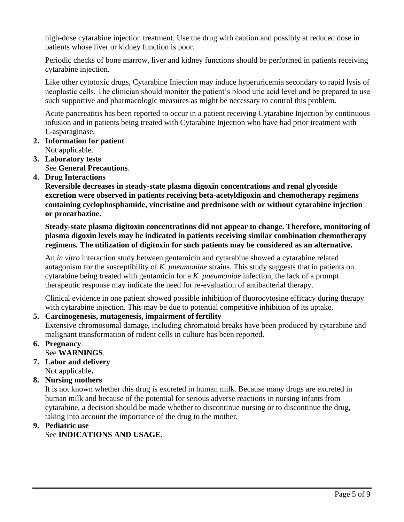high-dose cytarabine injection treatment. Use the drug with caution and possibly at reduced dose in patients whose liver or kidney function is poor.

Periodic checks of bone marrow, liver and kidney functions should be performed in patients receiving cytarabine injection.

Like other cytotoxic drugs, Cytarabine Injection may induce hyperuricemia secondary to rapid lysis of neoplastic cells. The clinician should monitor the patient's blood uric acid level and be prepared to use such supportive and pharmacologic measures as might be necessary to control this problem.

Acute pancreatitis has been reported to occur in a patient receiving Cytarabine Injection by continuous infusion and in patients being treated with Cytarabine Injection who have had prior treatment with L-asparaginase.

**2. Information for patient**

Not applicable.

- **3. Laboratory tests** See **General Precautions**.
- **4. Drug Interactions**

**Reversible decreases in steady-state plasma digoxin concentrations and renal glycoside excretion were observed in patients receiving beta-acetyldigoxin and chemotherapy regimens containing cyclophosphamide, vincristine and prednisone with or without cytarabine injection or procarbazine.**

**Steady-state plasma digitoxin concentrations did not appear to change. Therefore, monitoring of plasma digoxin levels may be indicated in patients receiving similar combination chemotherapy regimens. The utilization of digitoxin for such patients may be considered as an alternative.**

An *in vitro* interaction study between gentamicin and cytarabine showed a cytarabine related antagonism for the susceptibility of *K. pneumoniae* strains. This study suggests that in patients on cytarabine being treated with gentamicin for a *K. pneumoniae* infection, the lack of a prompt therapeutic response may indicate the need for re-evaluation of antibacterial therapy.

Clinical evidence in one patient showed possible inhibition of fluorocytosine efficacy during therapy with cytarabine injection. This may be due to potential competitive inhibition of its uptake.

## **5. Carcinogenesis, mutagenesis, impairment of fertility**

Extensive chromosomal damage, including chromatoid breaks have been produced by cytarabine and malignant transformation of rodent cells in culture has been reported.

**6. Pregnancy**

See **WARNINGS**.

**7. Labor and delivery**

Not applicable**.**

# **8. Nursing mothers**

It is not known whether this drug is excreted in human milk. Because many drugs are excreted in human milk and because of the potential for serious adverse reactions in nursing infants from cytarabine, a decision should be made whether to discontinue nursing or to discontinue the drug, taking into account the importance of the drug to the mother.

**9. Pediatric use**

See **INDICATIONS AND USAGE**.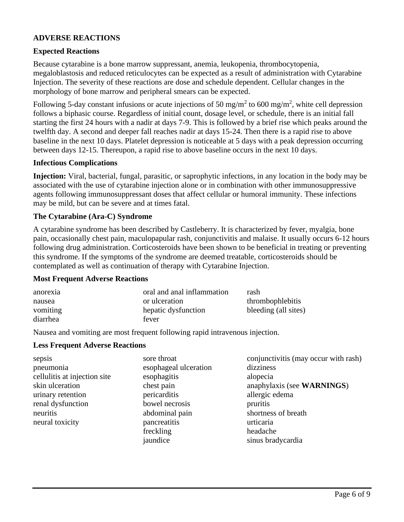### **ADVERSE REACTIONS**

#### **Expected Reactions**

Because cytarabine is a bone marrow suppressant, anemia, leukopenia, thrombocytopenia, megaloblastosis and reduced reticulocytes can be expected as a result of administration with Cytarabine Injection. The severity of these reactions are dose and schedule dependent. Cellular changes in the morphology of bone marrow and peripheral smears can be expected.

Following 5-day constant infusions or acute injections of 50 mg/m<sup>2</sup> to 600 mg/m<sup>2</sup>, white cell depression follows a biphasic course. Regardless of initial count, dosage level, or schedule, there is an initial fall starting the first 24 hours with a nadir at days 7-9. This is followed by a brief rise which peaks around the twelfth day. A second and deeper fall reaches nadir at days 15-24. Then there is a rapid rise to above baseline in the next 10 days. Platelet depression is noticeable at 5 days with a peak depression occurring between days 12-15. Thereupon, a rapid rise to above baseline occurs in the next 10 days.

#### **Infectious Complications**

**Injection:** Viral, bacterial, fungal, parasitic, or saprophytic infections, in any location in the body may be associated with the use of cytarabine injection alone or in combination with other immunosuppressive agents following immunosuppressant doses that affect cellular or humoral immunity. These infections may be mild, but can be severe and at times fatal.

#### **The Cytarabine (Ara-C) Syndrome**

A cytarabine syndrome has been described by Castleberry. It is characterized by fever, myalgia, bone pain, occasionally chest pain, maculopapular rash, conjunctivitis and malaise. It usually occurs 6-12 hours following drug administration. Corticosteroids have been shown to be beneficial in treating or preventing this syndrome. If the symptoms of the syndrome are deemed treatable, corticosteroids should be contemplated as well as continuation of therapy with Cytarabine Injection.

#### **Most Frequent Adverse Reactions**

| anorexia | oral and anal inflammation | rash                 |
|----------|----------------------------|----------------------|
| nausea   | or ulceration              | thrombophlebitis     |
| vomiting | hepatic dysfunction        | bleeding (all sites) |
| diarrhea | fever                      |                      |

Nausea and vomiting are most frequent following rapid intravenous injection.

#### **Less Frequent Adverse Reactions**

| sore throat           | conjunctivitis (may occur with rash) |
|-----------------------|--------------------------------------|
| esophageal ulceration | dizziness                            |
| esophagitis           | alopecia                             |
| chest pain            | anaphylaxis (see WARNINGS)           |
| pericarditis          | allergic edema                       |
| bowel necrosis        | pruritis                             |
| abdominal pain        | shortness of breath                  |
| pancreatitis          | urticaria                            |
| freckling             | headache                             |
| jaundice              | sinus bradycardia                    |
|                       |                                      |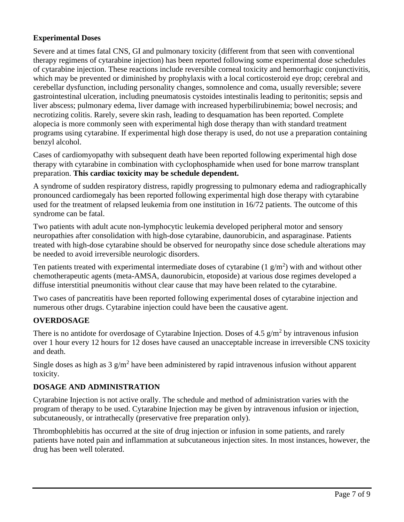## **Experimental Doses**

Severe and at times fatal CNS, GI and pulmonary toxicity (different from that seen with conventional therapy regimens of cytarabine injection) has been reported following some experimental dose schedules of cytarabine injection. These reactions include reversible corneal toxicity and hemorrhagic conjunctivitis, which may be prevented or diminished by prophylaxis with a local corticosteroid eye drop; cerebral and cerebellar dysfunction, including personality changes, somnolence and coma, usually reversible; severe gastrointestinal ulceration, including pneumatosis cystoides intestinalis leading to peritonitis; sepsis and liver abscess; pulmonary edema, liver damage with increased hyperbilirubinemia; bowel necrosis; and necrotizing colitis. Rarely, severe skin rash, leading to desquamation has been reported. Complete alopecia is more commonly seen with experimental high dose therapy than with standard treatment programs using cytarabine. If experimental high dose therapy is used, do not use a preparation containing benzyl alcohol.

Cases of cardiomyopathy with subsequent death have been reported following experimental high dose therapy with cytarabine in combination with cyclophosphamide when used for bone marrow transplant preparation. **This cardiac toxicity may be schedule dependent.**

A syndrome of sudden respiratory distress, rapidly progressing to pulmonary edema and radiographically pronounced cardiomegaly has been reported following experimental high dose therapy with cytarabine used for the treatment of relapsed leukemia from one institution in 16/72 patients. The outcome of this syndrome can be fatal.

Two patients with adult acute non-lymphocytic leukemia developed peripheral motor and sensory neuropathies after consolidation with high-dose cytarabine, daunorubicin, and asparaginase. Patients treated with high-dose cytarabine should be observed for neuropathy since dose schedule alterations may be needed to avoid irreversible neurologic disorders.

Ten patients treated with experimental intermediate doses of cytarabine  $(1 \text{ g/m}^2)$  with and without other chemotherapeutic agents (meta-AMSA, daunorubicin, etoposide) at various dose regimes developed a diffuse interstitial pneumonitis without clear cause that may have been related to the cytarabine.

Two cases of pancreatitis have been reported following experimental doses of cytarabine injection and numerous other drugs. Cytarabine injection could have been the causative agent.

### **OVERDOSAGE**

There is no antidote for overdosage of Cytarabine Injection. Doses of 4.5  $g/m^2$  by intravenous infusion over 1 hour every 12 hours for 12 doses have caused an unacceptable increase in irreversible CNS toxicity and death.

Single doses as high as  $3 \text{ g/m}^2$  have been administered by rapid intravenous infusion without apparent toxicity.

### **DOSAGE AND ADMINISTRATION**

Cytarabine Injection is not active orally. The schedule and method of administration varies with the program of therapy to be used. Cytarabine Injection may be given by intravenous infusion or injection, subcutaneously, or intrathecally (preservative free preparation only).

Thrombophlebitis has occurred at the site of drug injection or infusion in some patients, and rarely patients have noted pain and inflammation at subcutaneous injection sites. In most instances, however, the drug has been well tolerated.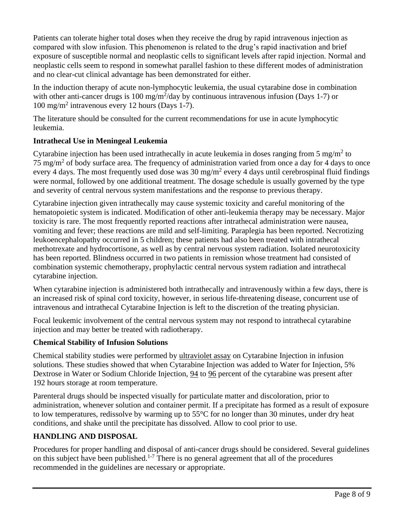Patients can tolerate higher total doses when they receive the drug by rapid intravenous injection as compared with slow infusion. This phenomenon is related to the drug's rapid inactivation and brief exposure of susceptible normal and neoplastic cells to significant levels after rapid injection. Normal and neoplastic cells seem to respond in somewhat parallel fashion to these different modes of administration and no clear-cut clinical advantage has been demonstrated for either.

In the induction therapy of acute non-lymphocytic leukemia, the usual cytarabine dose in combination with other anti-cancer drugs is 100 mg/m<sup>2</sup>/day by continuous intravenous infusion (Days 1-7) or 100 mg/m<sup>2</sup> intravenous every 12 hours (Days 1-7).

The literature should be consulted for the current recommendations for use in acute lymphocytic leukemia.

# **Intrathecal Use in Meningeal Leukemia**

Cytarabine injection has been used intrathecally in acute leukemia in doses ranging from 5 mg/m<sup>2</sup> to 75 mg/m<sup>2</sup> of body surface area. The frequency of administration varied from once a day for 4 days to once every 4 days. The most frequently used dose was  $30 \text{ mg/m}^2$  every 4 days until cerebrospinal fluid findings were normal, followed by one additional treatment. The dosage schedule is usually governed by the type and severity of central nervous system manifestations and the response to previous therapy.

Cytarabine injection given intrathecally may cause systemic toxicity and careful monitoring of the hematopoietic system is indicated. Modification of other anti-leukemia therapy may be necessary. Major toxicity is rare. The most frequently reported reactions after intrathecal administration were nausea, vomiting and fever; these reactions are mild and self-limiting. Paraplegia has been reported. Necrotizing leukoencephalopathy occurred in 5 children; these patients had also been treated with intrathecal methotrexate and hydrocortisone, as well as by central nervous system radiation. Isolated neurotoxicity has been reported. Blindness occurred in two patients in remission whose treatment had consisted of combination systemic chemotherapy, prophylactic central nervous system radiation and intrathecal cytarabine injection.

When cytarabine injection is administered both intrathecally and intravenously within a few days, there is an increased risk of spinal cord toxicity, however, in serious life-threatening disease, concurrent use of intravenous and intrathecal Cytarabine Injection is left to the discretion of the treating physician.

Focal leukemic involvement of the central nervous system may not respond to intrathecal cytarabine injection and may better be treated with radiotherapy.

# **Chemical Stability of Infusion Solutions**

Chemical stability studies were performed by ultraviolet assay on Cytarabine Injection in infusion solutions. These studies showed that when Cytarabine Injection was added to Water for Injection, 5% Dextrose in Water or Sodium Chloride Injection, 94 to 96 percent of the cytarabine was present after 192 hours storage at room temperature.

Parenteral drugs should be inspected visually for particulate matter and discoloration, prior to administration, whenever solution and container permit. If a precipitate has formed as a result of exposure to low temperatures, redissolve by warming up to 55°C for no longer than 30 minutes, under dry heat conditions, and shake until the precipitate has dissolved. Allow to cool prior to use.

# **HANDLING AND DISPOSAL**

Procedures for proper handling and disposal of anti-cancer drugs should be considered. Several guidelines on this subject have been published.<sup>1-7</sup> There is no general agreement that all of the procedures recommended in the guidelines are necessary or appropriate.